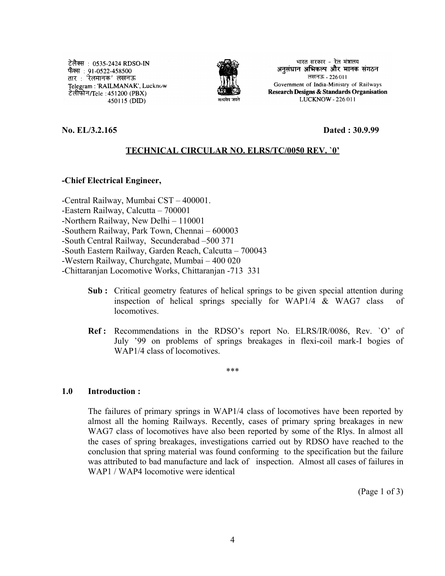टेलैक्स : 0535-2424 RDSO-IN फैक्स : 91-0522-458500 तार : 'रेलमानक' लखनऊ Telegram: 'RAILMANAK', Lucknow टेलीफोन/Tele :451200 (PBX) । 450115 (DID)



भारत सरकार - रेल मंत्रालय अनुसंधान अभिकल्प और मानक संगठन लखनऊ - 226011 Government of India-Ministry of Railways Research Designs & Standards Organisation LUCKNOW - 226 011

**No. EL/3.2.165 Dated : 30.9.99**

## **TECHNICAL CIRCULAR NO. ELRS/TC/0050 REV. `0'**

**-Chief Electrical Engineer,**

-Central Railway, Mumbai CST – 400001.

-Eastern Railway, Calcutta – 700001

-Northern Railway, New Delhi – 110001

-Southern Railway, Park Town, Chennai – 600003

-South Central Railway, Secunderabad –500 371

-South Eastern Railway, Garden Reach, Calcutta – 700043

-Western Railway, Churchgate, Mumbai – 400 020

-Chittaranjan Locomotive Works, Chittaranjan -713 331

- **Sub :** Critical geometry features of helical springs to be given special attention during inspection of helical springs specially for WAP1/4 & WAG7 class of locomotives.
- **Ref :** Recommendations in the RDSO's report No. ELRS/IR/0086, Rev. `O' of July '99 on problems of springs breakages in flexi-coil mark-I bogies of WAP1/4 class of locomotives.

\*\*\*

**1.0 Introduction :**

The failures of primary springs in WAP1/4 class of locomotives have been reported by almost all the homing Railways. Recently, cases of primary spring breakages in new WAG7 class of locomotives have also been reported by some of the Rlys. In almost all the cases of spring breakages, investigations carried out by RDSO have reached to the conclusion that spring material was found conforming to the specification but the failure was attributed to bad manufacture and lack of inspection. Almost all cases of failures in WAP1 / WAP4 locomotive were identical

(Page 1 of 3)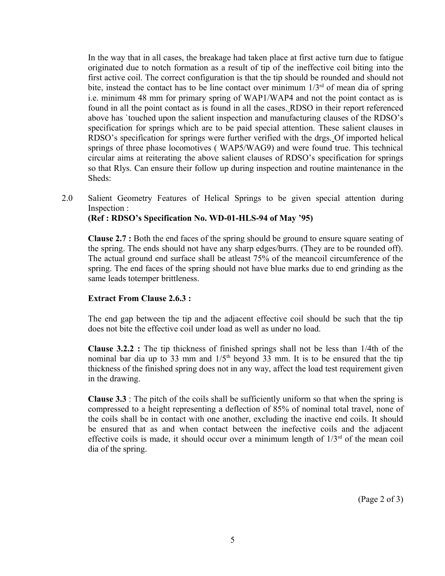In the way that in all cases, the breakage had taken place at first active turn due to fatigue originated due to notch formation as a result of tip of the ineffective coil biting into the first active coil. The correct configuration is that the tip should be rounded and should not bite, instead the contact has to be line contact over minimum  $1/3<sup>rd</sup>$  of mean dia of spring i.e. minimum 48 mm for primary spring of WAP1/WAP4 and not the point contact as is found in all the point contact as is found in all the cases. RDSO in their report referenced above has `touched upon the salient inspection and manufacturing clauses of the RDSO's specification for springs which are to be paid special attention. These salient clauses in RDSO's specification for springs were further verified with the drgs. Of imported helical springs of three phase locomotives ( WAP5/WAG9) and were found true. This technical circular aims at reiterating the above salient clauses of RDSO's specification for springs so that Rlys. Can ensure their follow up during inspection and routine maintenance in the Sheds:

2.0 Salient Geometry Features of Helical Springs to be given special attention during Inspection :

**(Ref : RDSO's Specification No. WD-01-HLS-94 of May '95)**

**Clause 2.7 :** Both the end faces of the spring should be ground to ensure square seating of the spring. The ends should not have any sharp edges/burrs. (They are to be rounded off). The actual ground end surface shall be atleast 75% of the meancoil circumference of the spring. The end faces of the spring should not have blue marks due to end grinding as the same leads totemper brittleness.

## **Extract From Clause 2.6.3 :**

The end gap between the tip and the adjacent effective coil should be such that the tip does not bite the effective coil under load as well as under no load.

**Clause 3.2.2 :** The tip thickness of finished springs shall not be less than 1/4th of the nominal bar dia up to 33 mm and  $1/5<sup>th</sup>$  beyond 33 mm. It is to be ensured that the tip thickness of the finished spring does not in any way, affect the load test requirement given in the drawing.

**Clause 3.3** : The pitch of the coils shall be sufficiently uniform so that when the spring is compressed to a height representing a deflection of 85% of nominal total travel, none of the coils shall be in contact with one another, excluding the inactive end coils. It should be ensured that as and when contact between the inefective coils and the adjacent effective coils is made, it should occur over a minimum length of  $1/3<sup>rd</sup>$  of the mean coil dia of the spring.

(Page 2 of 3)